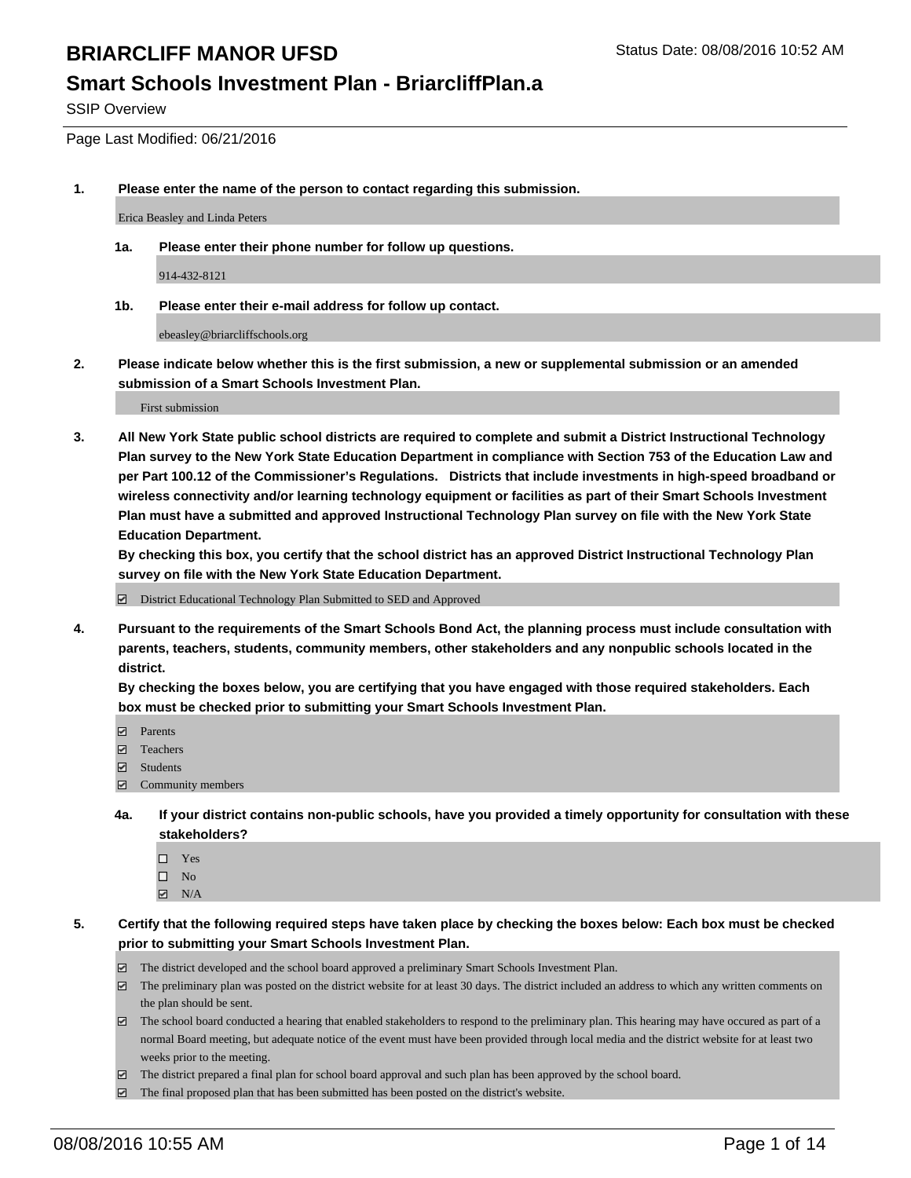### **Smart Schools Investment Plan - BriarcliffPlan.a**

SSIP Overview

Page Last Modified: 06/21/2016

**1. Please enter the name of the person to contact regarding this submission.**

Erica Beasley and Linda Peters

**1a. Please enter their phone number for follow up questions.**

914-432-8121

**1b. Please enter their e-mail address for follow up contact.**

ebeasley@briarcliffschools.org

**2. Please indicate below whether this is the first submission, a new or supplemental submission or an amended submission of a Smart Schools Investment Plan.**

First submission

**3. All New York State public school districts are required to complete and submit a District Instructional Technology Plan survey to the New York State Education Department in compliance with Section 753 of the Education Law and per Part 100.12 of the Commissioner's Regulations. Districts that include investments in high-speed broadband or wireless connectivity and/or learning technology equipment or facilities as part of their Smart Schools Investment Plan must have a submitted and approved Instructional Technology Plan survey on file with the New York State Education Department.** 

**By checking this box, you certify that the school district has an approved District Instructional Technology Plan survey on file with the New York State Education Department.**

District Educational Technology Plan Submitted to SED and Approved

**4. Pursuant to the requirements of the Smart Schools Bond Act, the planning process must include consultation with parents, teachers, students, community members, other stakeholders and any nonpublic schools located in the district.** 

**By checking the boxes below, you are certifying that you have engaged with those required stakeholders. Each box must be checked prior to submitting your Smart Schools Investment Plan.**

- **Parents**
- □ Teachers
- $\blacksquare$  Students
- Community members
- **4a. If your district contains non-public schools, have you provided a timely opportunity for consultation with these stakeholders?**
	- $\Box$  Yes  $\square$  No
	- $\boxtimes$  N/A
- **5. Certify that the following required steps have taken place by checking the boxes below: Each box must be checked prior to submitting your Smart Schools Investment Plan.**
	- The district developed and the school board approved a preliminary Smart Schools Investment Plan.
	- $\boxdot$  The preliminary plan was posted on the district website for at least 30 days. The district included an address to which any written comments on the plan should be sent.
	- $\Box$  The school board conducted a hearing that enabled stakeholders to respond to the preliminary plan. This hearing may have occured as part of a normal Board meeting, but adequate notice of the event must have been provided through local media and the district website for at least two weeks prior to the meeting.
	- The district prepared a final plan for school board approval and such plan has been approved by the school board.
	- $\boxdot$  The final proposed plan that has been submitted has been posted on the district's website.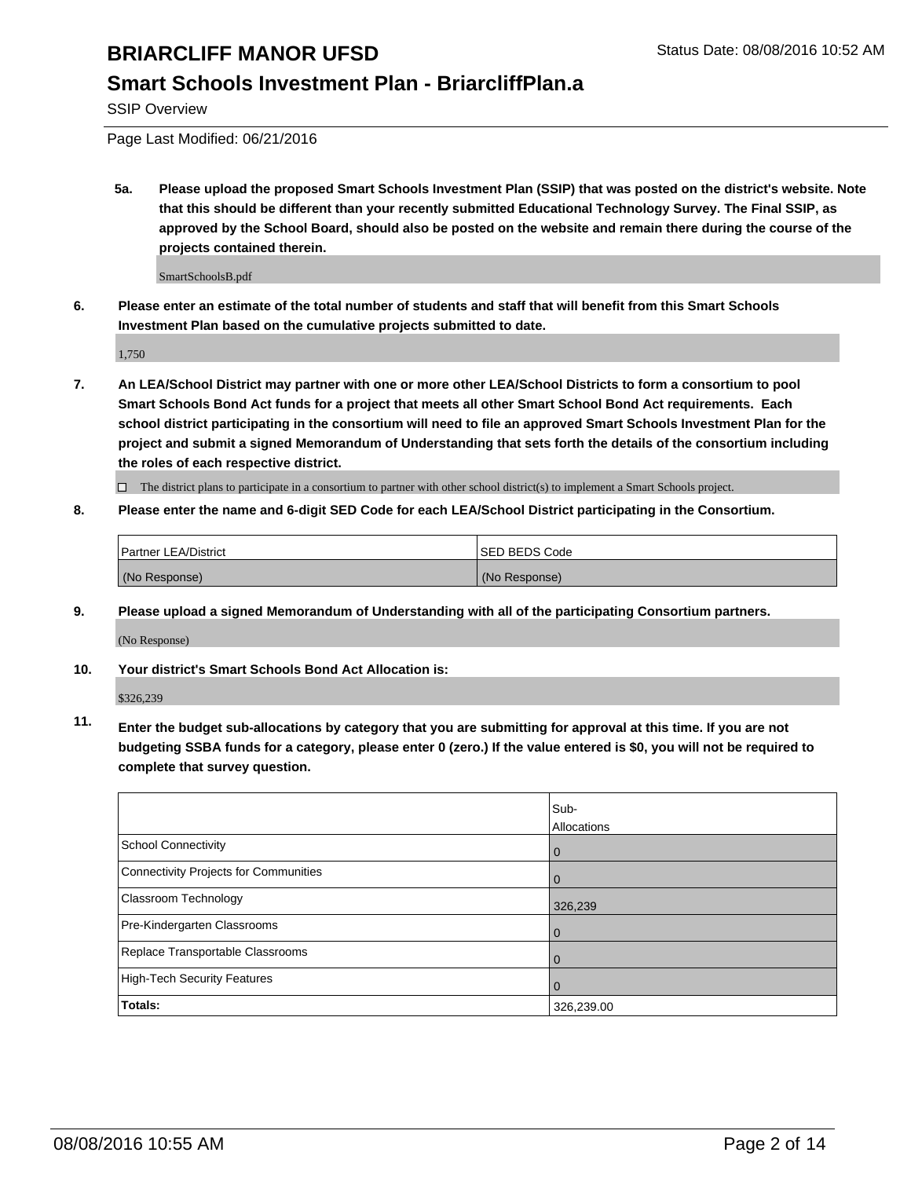### **Smart Schools Investment Plan - BriarcliffPlan.a**

SSIP Overview

Page Last Modified: 06/21/2016

**5a. Please upload the proposed Smart Schools Investment Plan (SSIP) that was posted on the district's website. Note that this should be different than your recently submitted Educational Technology Survey. The Final SSIP, as approved by the School Board, should also be posted on the website and remain there during the course of the projects contained therein.**

SmartSchoolsB.pdf

**6. Please enter an estimate of the total number of students and staff that will benefit from this Smart Schools Investment Plan based on the cumulative projects submitted to date.**

1,750

**7. An LEA/School District may partner with one or more other LEA/School Districts to form a consortium to pool Smart Schools Bond Act funds for a project that meets all other Smart School Bond Act requirements. Each school district participating in the consortium will need to file an approved Smart Schools Investment Plan for the project and submit a signed Memorandum of Understanding that sets forth the details of the consortium including the roles of each respective district.**

 $\Box$  The district plans to participate in a consortium to partner with other school district(s) to implement a Smart Schools project.

#### **8. Please enter the name and 6-digit SED Code for each LEA/School District participating in the Consortium.**

| <b>Partner LEA/District</b> | ISED BEDS Code |
|-----------------------------|----------------|
| (No Response)               | (No Response)  |

**9. Please upload a signed Memorandum of Understanding with all of the participating Consortium partners.**

(No Response)

**10. Your district's Smart Schools Bond Act Allocation is:**

\$326,239

**11. Enter the budget sub-allocations by category that you are submitting for approval at this time. If you are not budgeting SSBA funds for a category, please enter 0 (zero.) If the value entered is \$0, you will not be required to complete that survey question.**

|                                       | Sub-        |
|---------------------------------------|-------------|
|                                       | Allocations |
| <b>School Connectivity</b>            | $\mathbf 0$ |
| Connectivity Projects for Communities | 0           |
| Classroom Technology                  | 326,239     |
| Pre-Kindergarten Classrooms           | $\Omega$    |
| Replace Transportable Classrooms      | 0           |
| High-Tech Security Features           | 0           |
| <b>Totals:</b>                        | 326,239.00  |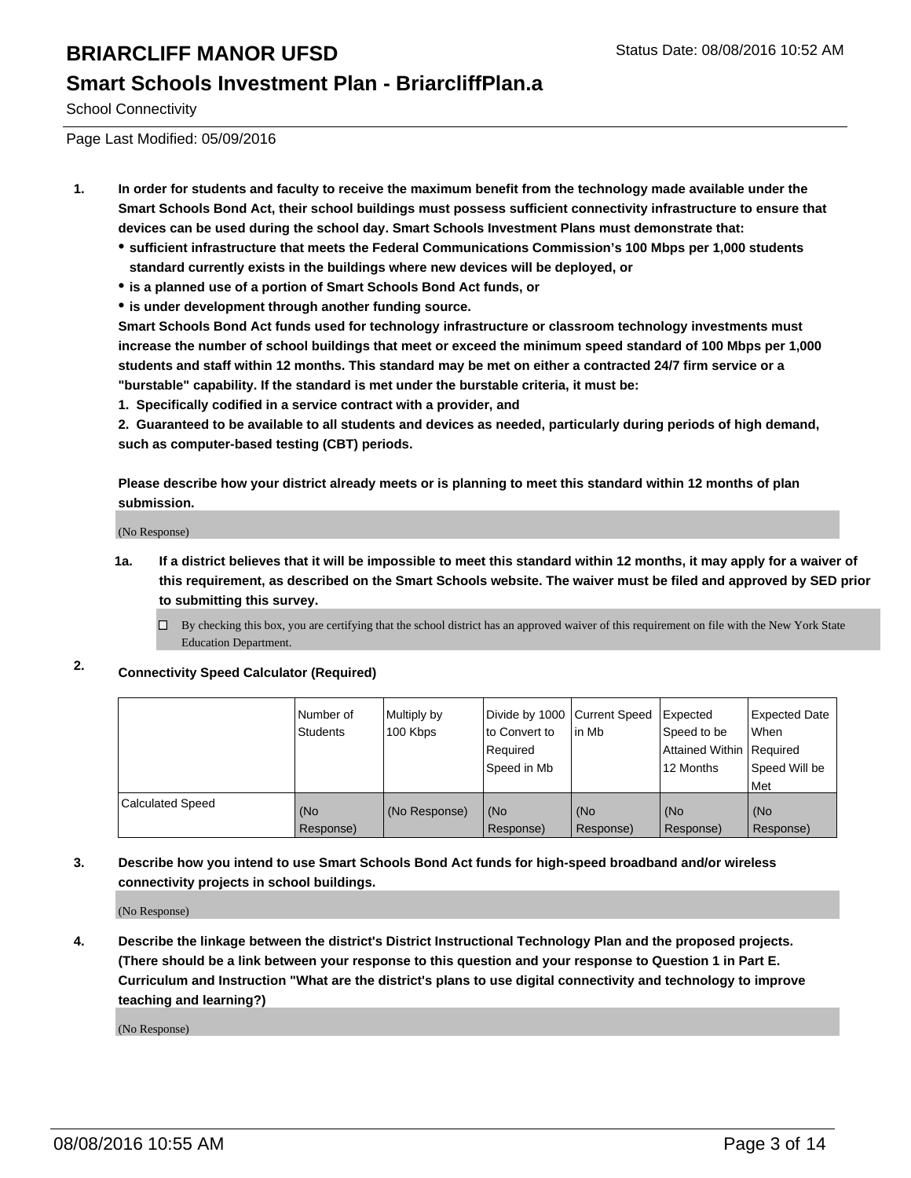#### **Smart Schools Investment Plan - BriarcliffPlan.a**

School Connectivity

Page Last Modified: 05/09/2016

- **1. In order for students and faculty to receive the maximum benefit from the technology made available under the Smart Schools Bond Act, their school buildings must possess sufficient connectivity infrastructure to ensure that devices can be used during the school day. Smart Schools Investment Plans must demonstrate that:**
	- **sufficient infrastructure that meets the Federal Communications Commission's 100 Mbps per 1,000 students standard currently exists in the buildings where new devices will be deployed, or**
	- **is a planned use of a portion of Smart Schools Bond Act funds, or**
	- **is under development through another funding source.**

**Smart Schools Bond Act funds used for technology infrastructure or classroom technology investments must increase the number of school buildings that meet or exceed the minimum speed standard of 100 Mbps per 1,000 students and staff within 12 months. This standard may be met on either a contracted 24/7 firm service or a "burstable" capability. If the standard is met under the burstable criteria, it must be:**

**1. Specifically codified in a service contract with a provider, and**

**2. Guaranteed to be available to all students and devices as needed, particularly during periods of high demand, such as computer-based testing (CBT) periods.**

**Please describe how your district already meets or is planning to meet this standard within 12 months of plan submission.**

(No Response)

- **1a. If a district believes that it will be impossible to meet this standard within 12 months, it may apply for a waiver of this requirement, as described on the Smart Schools website. The waiver must be filed and approved by SED prior to submitting this survey.**
	- $\Box$  By checking this box, you are certifying that the school district has an approved waiver of this requirement on file with the New York State Education Department.
- **2. Connectivity Speed Calculator (Required)**

|                         | l Number of<br>Students | Multiply by<br>100 Kbps | Divide by 1000 Current Speed<br>lto Convert to<br>Reauired<br>Speed in Mb | lin Mb           | Expected<br>Speed to be<br>Attained Within   Required<br>12 Months | <b>Expected Date</b><br><b>When</b><br>Speed Will be<br>l Met |
|-------------------------|-------------------------|-------------------------|---------------------------------------------------------------------------|------------------|--------------------------------------------------------------------|---------------------------------------------------------------|
| <b>Calculated Speed</b> | (No<br>Response)        | (No Response)           | (No<br>Response)                                                          | (No<br>Response) | (No<br>Response)                                                   | l (No<br>Response)                                            |

#### **3. Describe how you intend to use Smart Schools Bond Act funds for high-speed broadband and/or wireless connectivity projects in school buildings.**

(No Response)

**4. Describe the linkage between the district's District Instructional Technology Plan and the proposed projects. (There should be a link between your response to this question and your response to Question 1 in Part E. Curriculum and Instruction "What are the district's plans to use digital connectivity and technology to improve teaching and learning?)**

(No Response)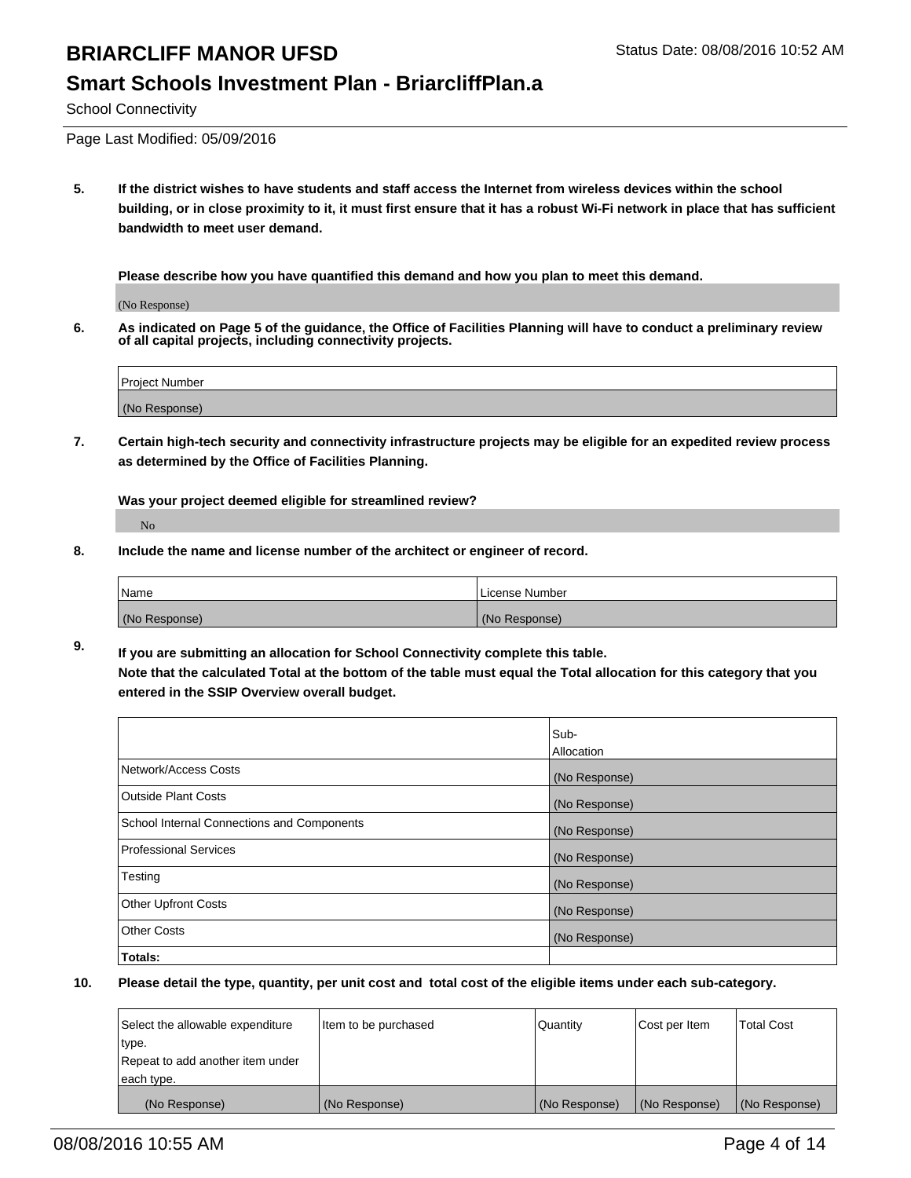#### **Smart Schools Investment Plan - BriarcliffPlan.a**

School Connectivity

Page Last Modified: 05/09/2016

**5. If the district wishes to have students and staff access the Internet from wireless devices within the school building, or in close proximity to it, it must first ensure that it has a robust Wi-Fi network in place that has sufficient bandwidth to meet user demand.**

**Please describe how you have quantified this demand and how you plan to meet this demand.**

(No Response)

**6. As indicated on Page 5 of the guidance, the Office of Facilities Planning will have to conduct a preliminary review of all capital projects, including connectivity projects.**

| <b>Project Number</b> |  |
|-----------------------|--|
| (No Response)         |  |

**7. Certain high-tech security and connectivity infrastructure projects may be eligible for an expedited review process as determined by the Office of Facilities Planning.**

**Was your project deemed eligible for streamlined review?**

No

**8. Include the name and license number of the architect or engineer of record.**

| <b>Name</b>   | License Number |
|---------------|----------------|
| (No Response) | (No Response)  |

**9. If you are submitting an allocation for School Connectivity complete this table. Note that the calculated Total at the bottom of the table must equal the Total allocation for this category that you entered in the SSIP Overview overall budget.** 

|                                            | Sub-          |
|--------------------------------------------|---------------|
|                                            | Allocation    |
| Network/Access Costs                       | (No Response) |
| <b>Outside Plant Costs</b>                 | (No Response) |
| School Internal Connections and Components | (No Response) |
| Professional Services                      | (No Response) |
| Testing                                    | (No Response) |
| <b>Other Upfront Costs</b>                 | (No Response) |
| <b>Other Costs</b>                         | (No Response) |
| Totals:                                    |               |

| Select the allowable expenditure | Item to be purchased | Quantity      | Cost per Item | <b>Total Cost</b> |
|----------------------------------|----------------------|---------------|---------------|-------------------|
| type.                            |                      |               |               |                   |
| Repeat to add another item under |                      |               |               |                   |
| each type.                       |                      |               |               |                   |
| (No Response)                    | (No Response)        | (No Response) | (No Response) | (No Response)     |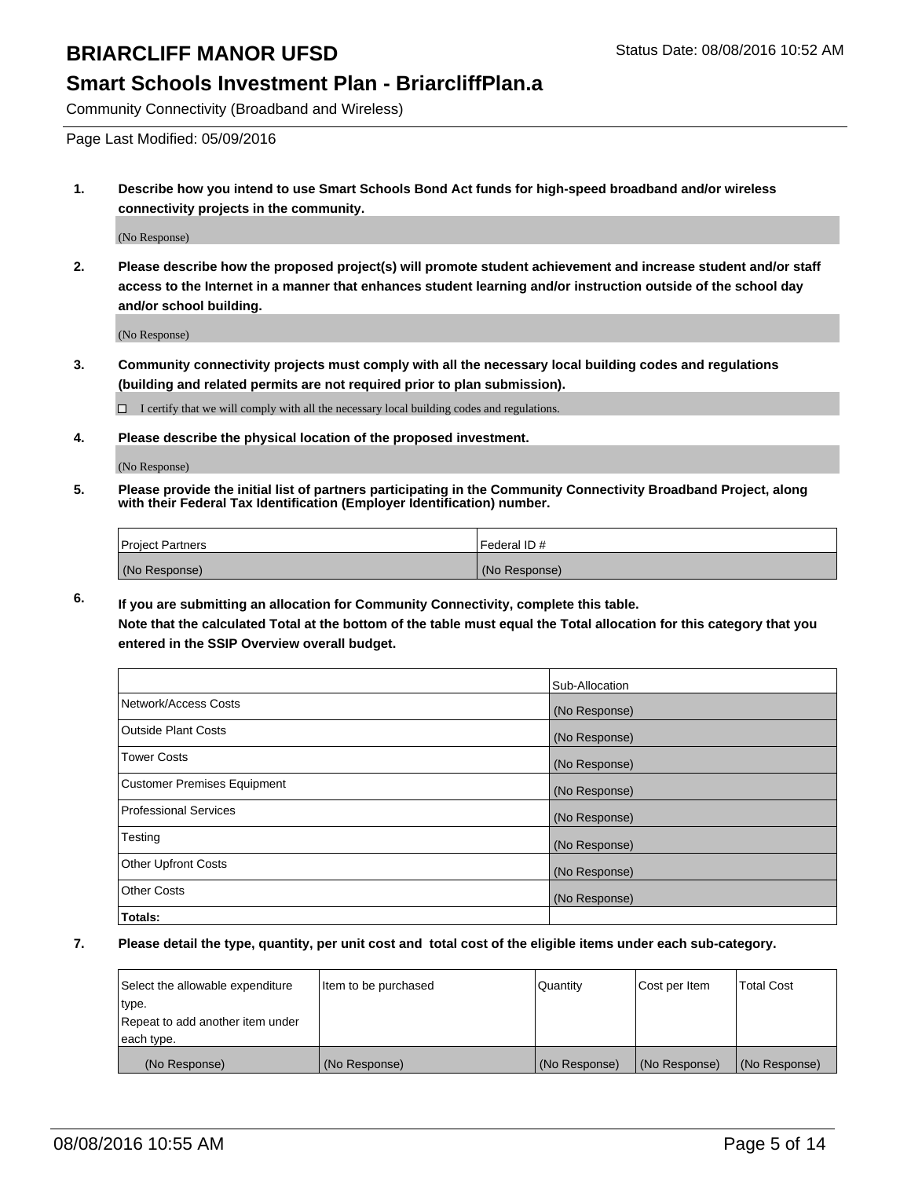#### **Smart Schools Investment Plan - BriarcliffPlan.a**

Community Connectivity (Broadband and Wireless)

Page Last Modified: 05/09/2016

**1. Describe how you intend to use Smart Schools Bond Act funds for high-speed broadband and/or wireless connectivity projects in the community.**

(No Response)

**2. Please describe how the proposed project(s) will promote student achievement and increase student and/or staff access to the Internet in a manner that enhances student learning and/or instruction outside of the school day and/or school building.**

(No Response)

**3. Community connectivity projects must comply with all the necessary local building codes and regulations (building and related permits are not required prior to plan submission).**

 $\Box$  I certify that we will comply with all the necessary local building codes and regulations.

**4. Please describe the physical location of the proposed investment.**

(No Response)

**5. Please provide the initial list of partners participating in the Community Connectivity Broadband Project, along with their Federal Tax Identification (Employer Identification) number.**

| Project Partners | <b>IFederal ID#</b> |
|------------------|---------------------|
| (No Response)    | (No Response)       |

**6. If you are submitting an allocation for Community Connectivity, complete this table. Note that the calculated Total at the bottom of the table must equal the Total allocation for this category that you**

**entered in the SSIP Overview overall budget.**

|                                    | Sub-Allocation |
|------------------------------------|----------------|
| Network/Access Costs               | (No Response)  |
| <b>Outside Plant Costs</b>         | (No Response)  |
| <b>Tower Costs</b>                 | (No Response)  |
| <b>Customer Premises Equipment</b> | (No Response)  |
| <b>Professional Services</b>       | (No Response)  |
| Testing                            | (No Response)  |
| <b>Other Upfront Costs</b>         | (No Response)  |
| <b>Other Costs</b>                 | (No Response)  |
| Totals:                            |                |

| Select the allowable expenditure | Item to be purchased | Quantity      | Cost per Item | <b>Total Cost</b> |
|----------------------------------|----------------------|---------------|---------------|-------------------|
| type.                            |                      |               |               |                   |
| Repeat to add another item under |                      |               |               |                   |
| each type.                       |                      |               |               |                   |
| (No Response)                    | (No Response)        | (No Response) | (No Response) | (No Response)     |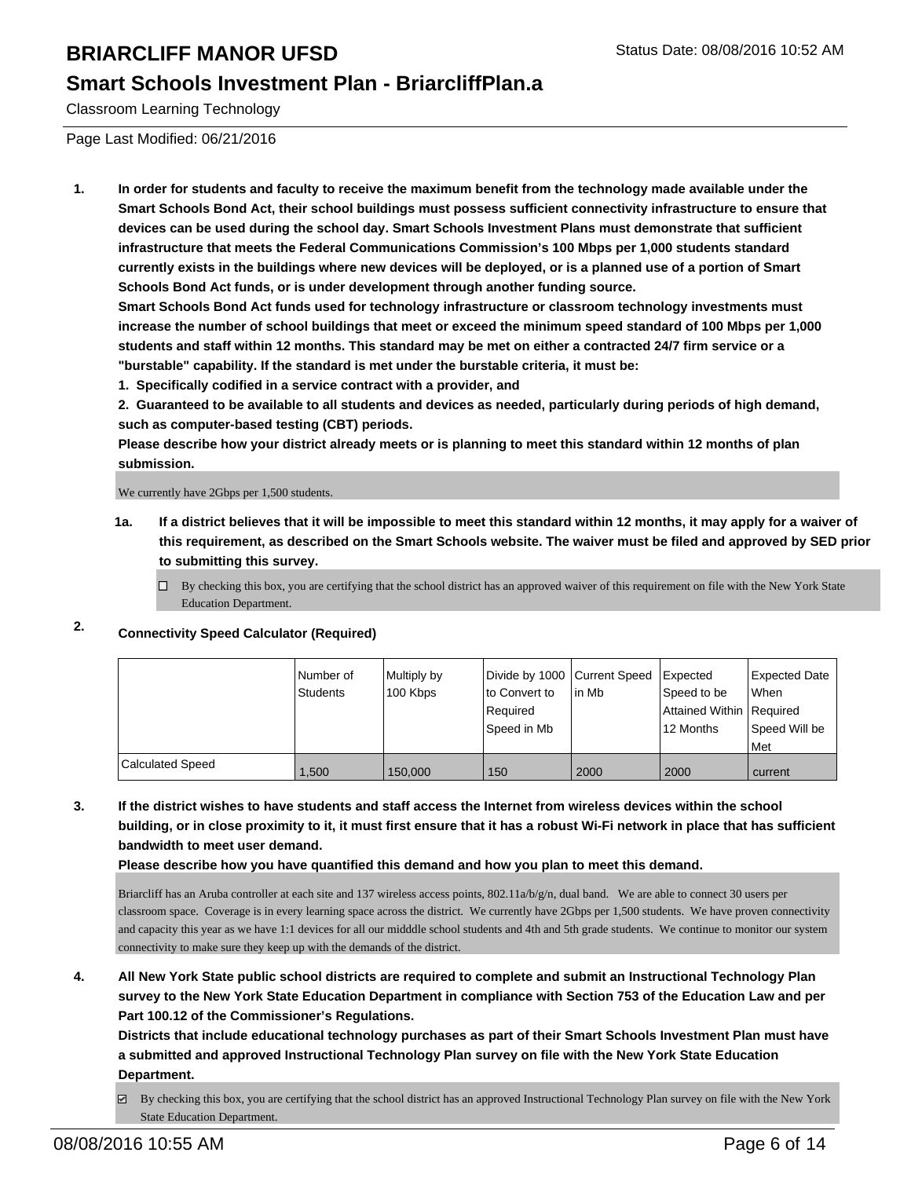#### **Smart Schools Investment Plan - BriarcliffPlan.a**

Classroom Learning Technology

Page Last Modified: 06/21/2016

**1. In order for students and faculty to receive the maximum benefit from the technology made available under the Smart Schools Bond Act, their school buildings must possess sufficient connectivity infrastructure to ensure that devices can be used during the school day. Smart Schools Investment Plans must demonstrate that sufficient infrastructure that meets the Federal Communications Commission's 100 Mbps per 1,000 students standard currently exists in the buildings where new devices will be deployed, or is a planned use of a portion of Smart Schools Bond Act funds, or is under development through another funding source.**

**Smart Schools Bond Act funds used for technology infrastructure or classroom technology investments must increase the number of school buildings that meet or exceed the minimum speed standard of 100 Mbps per 1,000 students and staff within 12 months. This standard may be met on either a contracted 24/7 firm service or a "burstable" capability. If the standard is met under the burstable criteria, it must be:**

**1. Specifically codified in a service contract with a provider, and**

**2. Guaranteed to be available to all students and devices as needed, particularly during periods of high demand, such as computer-based testing (CBT) periods.**

**Please describe how your district already meets or is planning to meet this standard within 12 months of plan submission.**

We currently have 2Gbps per 1,500 students.

- **1a. If a district believes that it will be impossible to meet this standard within 12 months, it may apply for a waiver of this requirement, as described on the Smart Schools website. The waiver must be filed and approved by SED prior to submitting this survey.**
	- $\Box$  By checking this box, you are certifying that the school district has an approved waiver of this requirement on file with the New York State Education Department.

### **2. Connectivity Speed Calculator (Required)**

|                         | Number of<br>Students | Multiply by<br>100 Kbps | Divide by 1000 Current Speed   Expected<br>lto Convert to<br>Required<br>Speed in Mb | l in Mb | Speed to be<br>Attained Within   Required<br>12 Months | Expected Date<br><b>When</b><br>Speed Will be<br>l Met |
|-------------------------|-----------------------|-------------------------|--------------------------------------------------------------------------------------|---------|--------------------------------------------------------|--------------------------------------------------------|
| <b>Calculated Speed</b> | 1,500                 | 150,000                 | 150                                                                                  | 2000    | 2000                                                   | current                                                |

**3. If the district wishes to have students and staff access the Internet from wireless devices within the school building, or in close proximity to it, it must first ensure that it has a robust Wi-Fi network in place that has sufficient bandwidth to meet user demand.**

**Please describe how you have quantified this demand and how you plan to meet this demand.**

Briarcliff has an Aruba controller at each site and 137 wireless access points,  $802.11a/b/g/n$ , dual band. We are able to connect 30 users per classroom space. Coverage is in every learning space across the district. We currently have 2Gbps per 1,500 students. We have proven connectivity and capacity this year as we have 1:1 devices for all our midddle school students and 4th and 5th grade students. We continue to monitor our system connectivity to make sure they keep up with the demands of the district.

**4. All New York State public school districts are required to complete and submit an Instructional Technology Plan survey to the New York State Education Department in compliance with Section 753 of the Education Law and per Part 100.12 of the Commissioner's Regulations.**

**Districts that include educational technology purchases as part of their Smart Schools Investment Plan must have a submitted and approved Instructional Technology Plan survey on file with the New York State Education Department.**

 $\boxtimes$  By checking this box, you are certifying that the school district has an approved Instructional Technology Plan survey on file with the New York State Education Department.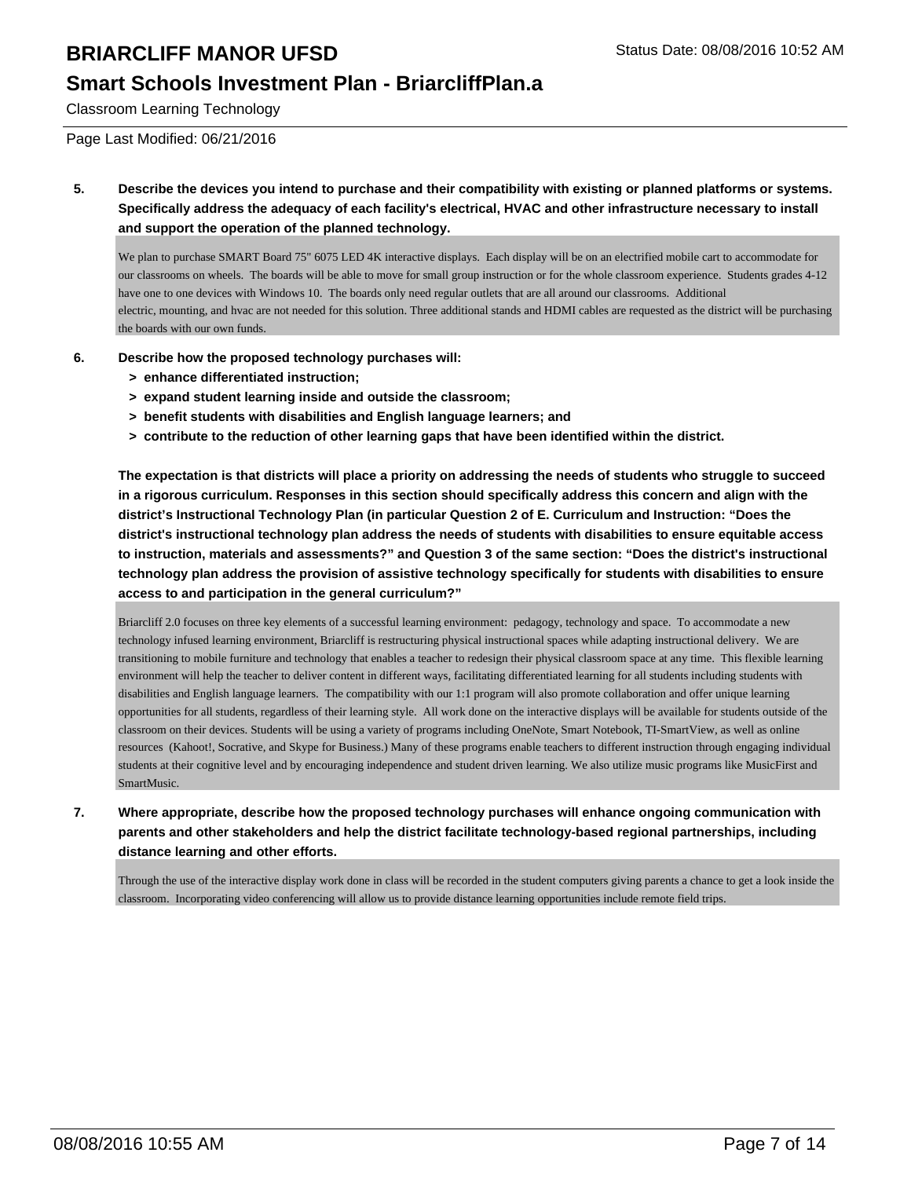### **Smart Schools Investment Plan - BriarcliffPlan.a**

Classroom Learning Technology

Page Last Modified: 06/21/2016

**5. Describe the devices you intend to purchase and their compatibility with existing or planned platforms or systems. Specifically address the adequacy of each facility's electrical, HVAC and other infrastructure necessary to install and support the operation of the planned technology.**

We plan to purchase SMART Board 75" 6075 LED 4K interactive displays. Each display will be on an electrified mobile cart to accommodate for our classrooms on wheels. The boards will be able to move for small group instruction or for the whole classroom experience. Students grades 4-12 have one to one devices with Windows 10. The boards only need regular outlets that are all around our classrooms. Additional electric, mounting, and hvac are not needed for this solution. Three additional stands and HDMI cables are requested as the district will be purchasing the boards with our own funds.

- **6. Describe how the proposed technology purchases will:**
	- **> enhance differentiated instruction;**
	- **> expand student learning inside and outside the classroom;**
	- **> benefit students with disabilities and English language learners; and**
	- **> contribute to the reduction of other learning gaps that have been identified within the district.**

**The expectation is that districts will place a priority on addressing the needs of students who struggle to succeed in a rigorous curriculum. Responses in this section should specifically address this concern and align with the district's Instructional Technology Plan (in particular Question 2 of E. Curriculum and Instruction: "Does the district's instructional technology plan address the needs of students with disabilities to ensure equitable access to instruction, materials and assessments?" and Question 3 of the same section: "Does the district's instructional technology plan address the provision of assistive technology specifically for students with disabilities to ensure access to and participation in the general curriculum?"**

Briarcliff 2.0 focuses on three key elements of a successful learning environment: pedagogy, technology and space. To accommodate a new technology infused learning environment, Briarcliff is restructuring physical instructional spaces while adapting instructional delivery. We are transitioning to mobile furniture and technology that enables a teacher to redesign their physical classroom space at any time. This flexible learning environment will help the teacher to deliver content in different ways, facilitating differentiated learning for all students including students with disabilities and English language learners. The compatibility with our 1:1 program will also promote collaboration and offer unique learning opportunities for all students, regardless of their learning style. All work done on the interactive displays will be available for students outside of the classroom on their devices. Students will be using a variety of programs including OneNote, Smart Notebook, TI-SmartView, as well as online resources (Kahoot!, Socrative, and Skype for Business.) Many of these programs enable teachers to different instruction through engaging individual students at their cognitive level and by encouraging independence and student driven learning. We also utilize music programs like MusicFirst and SmartMusic.

**7. Where appropriate, describe how the proposed technology purchases will enhance ongoing communication with parents and other stakeholders and help the district facilitate technology-based regional partnerships, including distance learning and other efforts.**

Through the use of the interactive display work done in class will be recorded in the student computers giving parents a chance to get a look inside the classroom. Incorporating video conferencing will allow us to provide distance learning opportunities include remote field trips.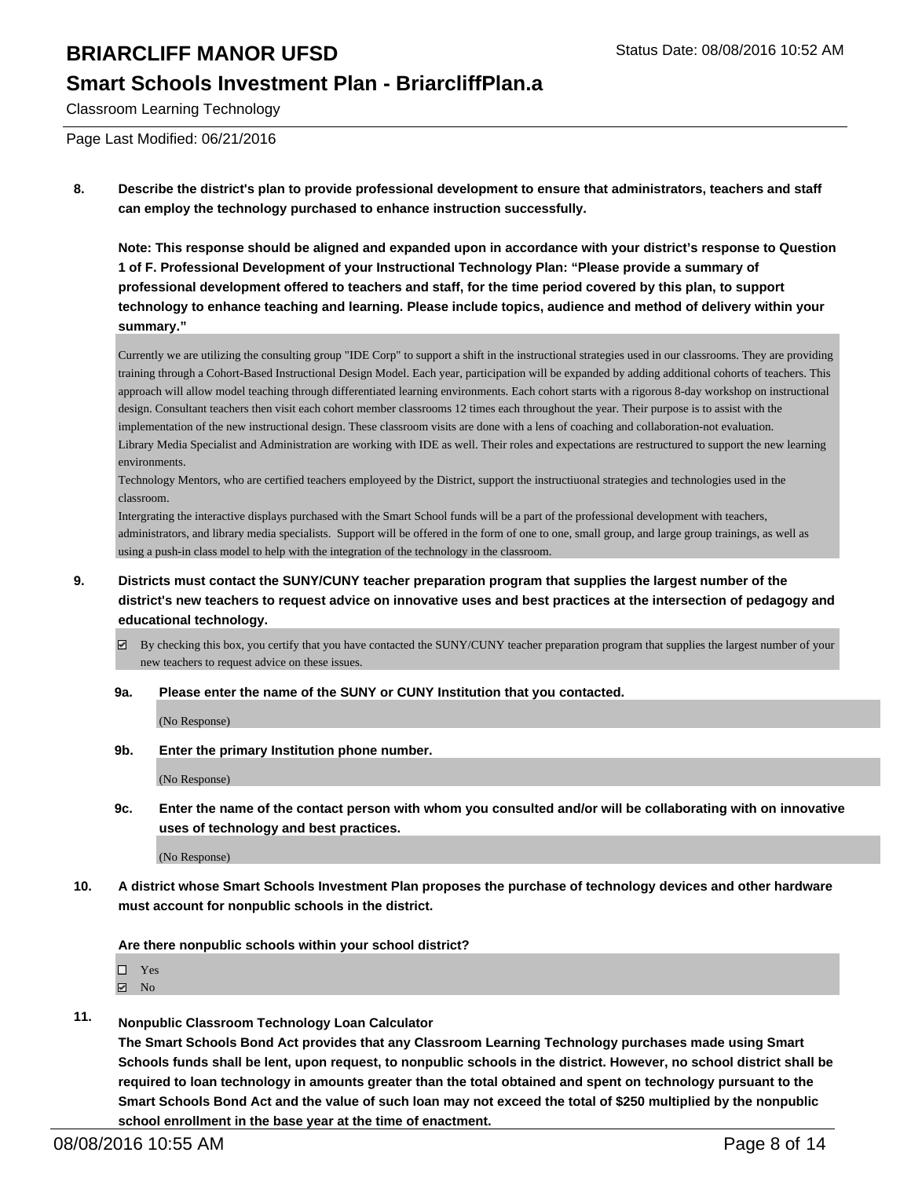#### **Smart Schools Investment Plan - BriarcliffPlan.a**

Classroom Learning Technology

Page Last Modified: 06/21/2016

**8. Describe the district's plan to provide professional development to ensure that administrators, teachers and staff can employ the technology purchased to enhance instruction successfully.**

**Note: This response should be aligned and expanded upon in accordance with your district's response to Question 1 of F. Professional Development of your Instructional Technology Plan: "Please provide a summary of professional development offered to teachers and staff, for the time period covered by this plan, to support technology to enhance teaching and learning. Please include topics, audience and method of delivery within your summary."**

Currently we are utilizing the consulting group "IDE Corp" to support a shift in the instructional strategies used in our classrooms. They are providing training through a Cohort-Based Instructional Design Model. Each year, participation will be expanded by adding additional cohorts of teachers. This approach will allow model teaching through differentiated learning environments. Each cohort starts with a rigorous 8-day workshop on instructional design. Consultant teachers then visit each cohort member classrooms 12 times each throughout the year. Their purpose is to assist with the implementation of the new instructional design. These classroom visits are done with a lens of coaching and collaboration-not evaluation. Library Media Specialist and Administration are working with IDE as well. Their roles and expectations are restructured to support the new learning environments.

Technology Mentors, who are certified teachers employeed by the District, support the instructiuonal strategies and technologies used in the classroom.

Intergrating the interactive displays purchased with the Smart School funds will be a part of the professional development with teachers, administrators, and library media specialists. Support will be offered in the form of one to one, small group, and large group trainings, as well as using a push-in class model to help with the integration of the technology in the classroom.

- **9. Districts must contact the SUNY/CUNY teacher preparation program that supplies the largest number of the district's new teachers to request advice on innovative uses and best practices at the intersection of pedagogy and educational technology.**
	- By checking this box, you certify that you have contacted the SUNY/CUNY teacher preparation program that supplies the largest number of your new teachers to request advice on these issues.
	- **9a. Please enter the name of the SUNY or CUNY Institution that you contacted.**

(No Response)

**9b. Enter the primary Institution phone number.**

(No Response)

**9c. Enter the name of the contact person with whom you consulted and/or will be collaborating with on innovative uses of technology and best practices.**

(No Response)

**10. A district whose Smart Schools Investment Plan proposes the purchase of technology devices and other hardware must account for nonpublic schools in the district.**

**Are there nonpublic schools within your school district?**

- $\boxtimes$  No
- **11. Nonpublic Classroom Technology Loan Calculator**

**The Smart Schools Bond Act provides that any Classroom Learning Technology purchases made using Smart Schools funds shall be lent, upon request, to nonpublic schools in the district. However, no school district shall be required to loan technology in amounts greater than the total obtained and spent on technology pursuant to the Smart Schools Bond Act and the value of such loan may not exceed the total of \$250 multiplied by the nonpublic school enrollment in the base year at the time of enactment.**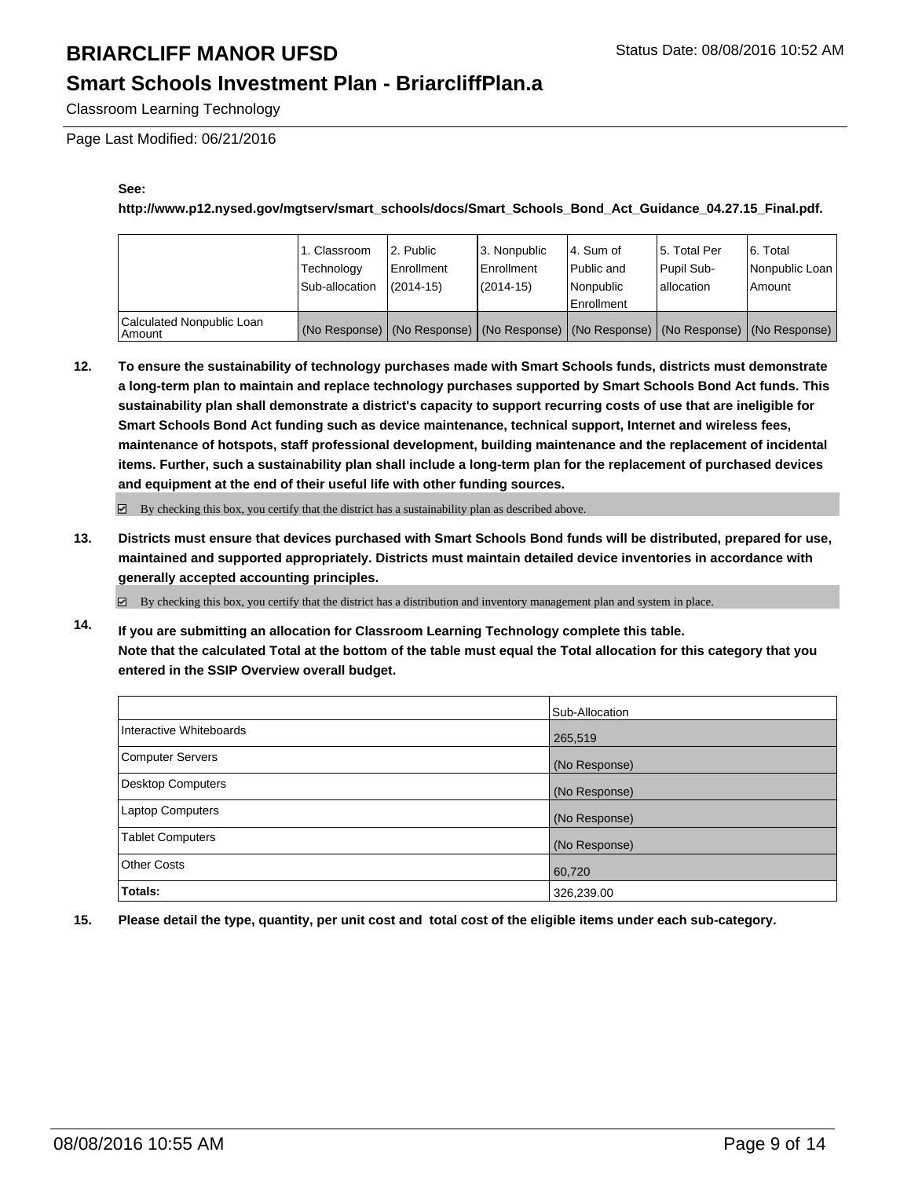## **Smart Schools Investment Plan - BriarcliffPlan.a**

Classroom Learning Technology

Page Last Modified: 06/21/2016

#### **See:**

**http://www.p12.nysed.gov/mgtserv/smart\_schools/docs/Smart\_Schools\_Bond\_Act\_Guidance\_04.27.15\_Final.pdf.**

|                                     | 1. Classroom<br>Technology<br>Sub-allocation | 2. Public<br>Enrollment<br>$(2014 - 15)$ | 3. Nonpublic<br><b>Enrollment</b><br>(2014-15) | 4. Sum of<br>Public and<br>Nonpublic<br><b>Enrollment</b> | 15. Total Per<br>Pupil Sub-<br>lallocation | 6. Total<br>Nonpublic Loan<br>Amount                                                          |
|-------------------------------------|----------------------------------------------|------------------------------------------|------------------------------------------------|-----------------------------------------------------------|--------------------------------------------|-----------------------------------------------------------------------------------------------|
| Calculated Nonpublic Loan<br>Amount |                                              |                                          |                                                |                                                           |                                            | (No Response)   (No Response)   (No Response)   (No Response)   (No Response)   (No Response) |

**12. To ensure the sustainability of technology purchases made with Smart Schools funds, districts must demonstrate a long-term plan to maintain and replace technology purchases supported by Smart Schools Bond Act funds. This sustainability plan shall demonstrate a district's capacity to support recurring costs of use that are ineligible for Smart Schools Bond Act funding such as device maintenance, technical support, Internet and wireless fees, maintenance of hotspots, staff professional development, building maintenance and the replacement of incidental items. Further, such a sustainability plan shall include a long-term plan for the replacement of purchased devices and equipment at the end of their useful life with other funding sources.**

 $\boxdot$  By checking this box, you certify that the district has a sustainability plan as described above.

**13. Districts must ensure that devices purchased with Smart Schools Bond funds will be distributed, prepared for use, maintained and supported appropriately. Districts must maintain detailed device inventories in accordance with generally accepted accounting principles.**

 $\boxtimes$  By checking this box, you certify that the district has a distribution and inventory management plan and system in place.

**14. If you are submitting an allocation for Classroom Learning Technology complete this table. Note that the calculated Total at the bottom of the table must equal the Total allocation for this category that you entered in the SSIP Overview overall budget.**

|                         | Sub-Allocation |
|-------------------------|----------------|
| Interactive Whiteboards | 265,519        |
| Computer Servers        | (No Response)  |
| Desktop Computers       | (No Response)  |
| <b>Laptop Computers</b> | (No Response)  |
| Tablet Computers        | (No Response)  |
| Other Costs             | 60,720         |
| <b>Totals:</b>          | 326,239.00     |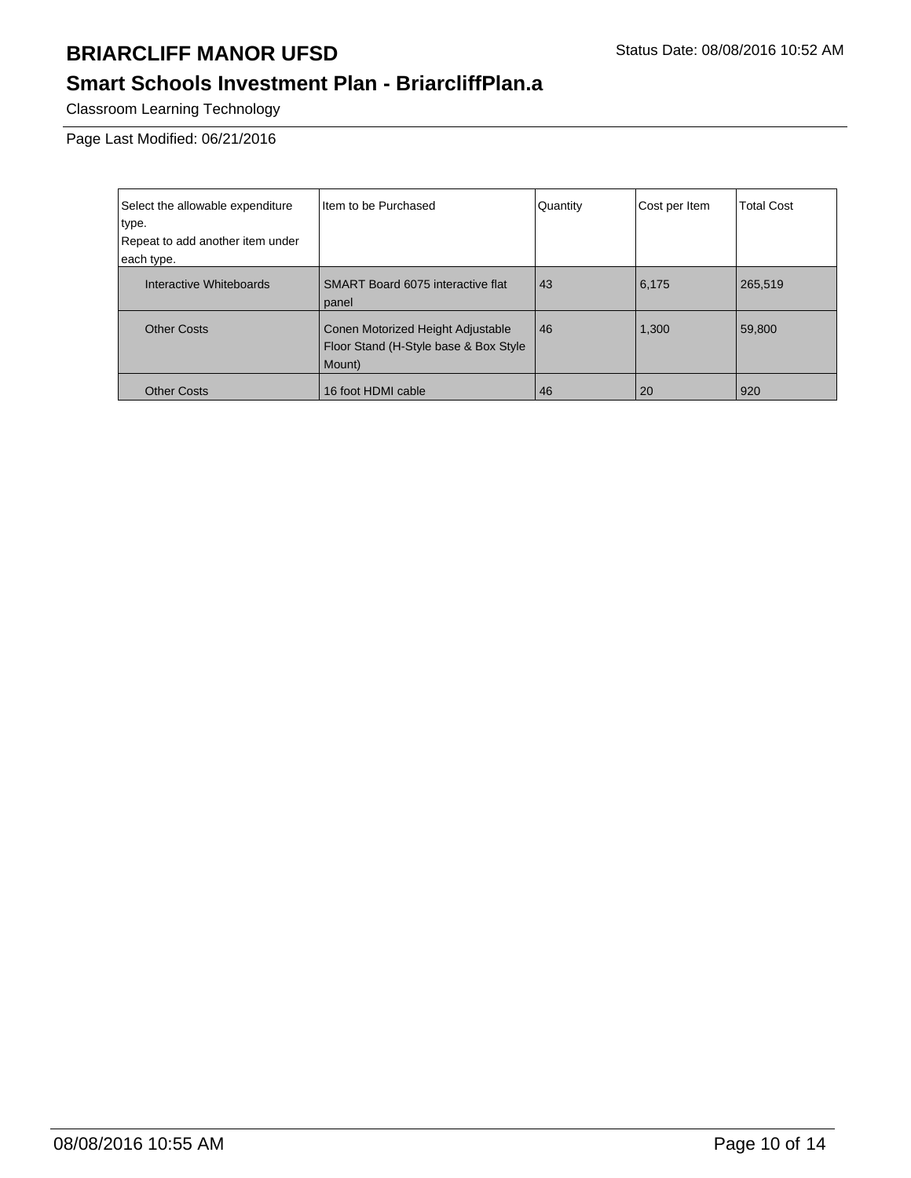## **Smart Schools Investment Plan - BriarcliffPlan.a**

Classroom Learning Technology

Page Last Modified: 06/21/2016

| Select the allowable expenditure | Item to be Purchased                                                                 | Quantity | Cost per Item | <b>Total Cost</b> |
|----------------------------------|--------------------------------------------------------------------------------------|----------|---------------|-------------------|
| type.                            |                                                                                      |          |               |                   |
| Repeat to add another item under |                                                                                      |          |               |                   |
| each type.                       |                                                                                      |          |               |                   |
| Interactive Whiteboards          | SMART Board 6075 interactive flat<br>panel                                           | 43       | 6,175         | 265,519           |
| <b>Other Costs</b>               | Conen Motorized Height Adjustable<br>Floor Stand (H-Style base & Box Style<br>Mount) | 46       | 1,300         | 59,800            |
| <b>Other Costs</b>               | 16 foot HDMI cable                                                                   | 46       | 20            | 920               |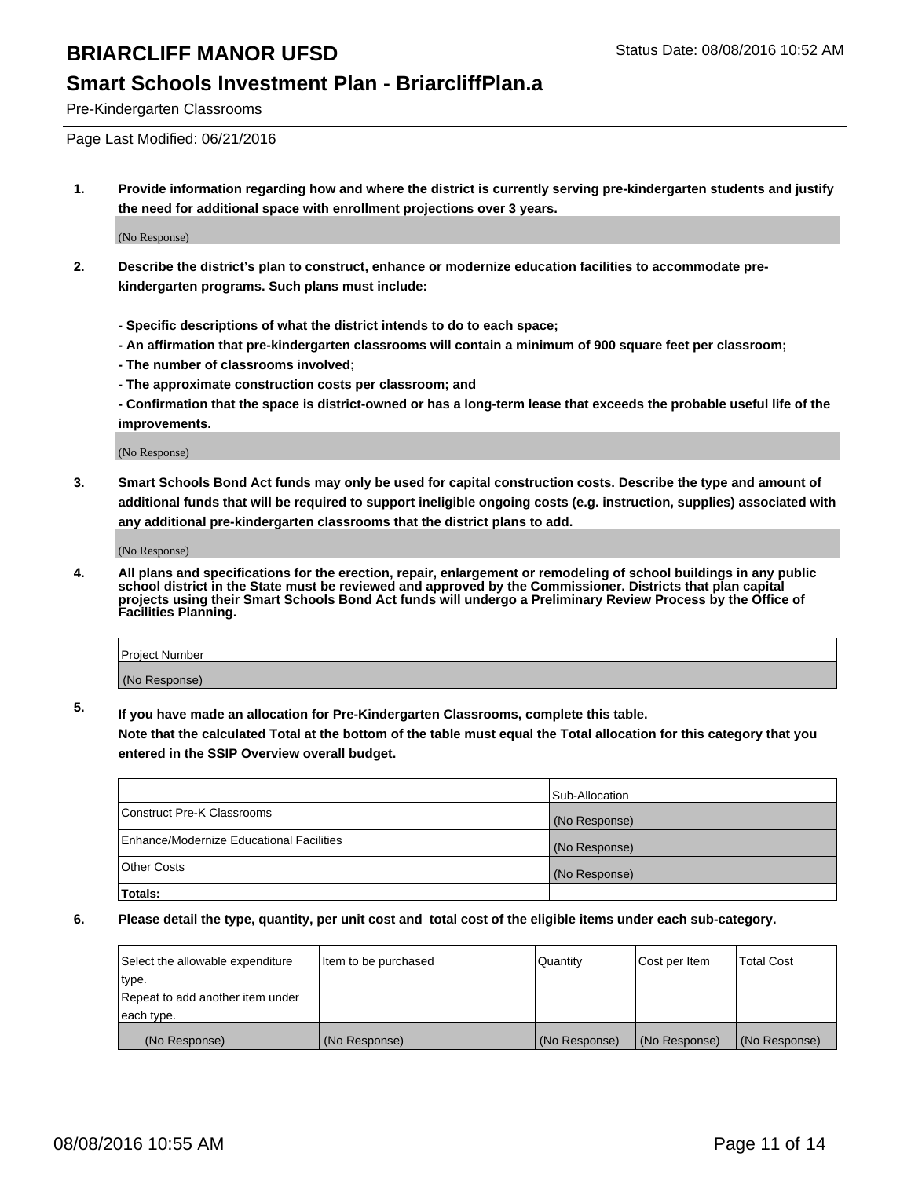#### **Smart Schools Investment Plan - BriarcliffPlan.a**

Pre-Kindergarten Classrooms

Page Last Modified: 06/21/2016

**1. Provide information regarding how and where the district is currently serving pre-kindergarten students and justify the need for additional space with enrollment projections over 3 years.**

(No Response)

- **2. Describe the district's plan to construct, enhance or modernize education facilities to accommodate prekindergarten programs. Such plans must include:**
	- **Specific descriptions of what the district intends to do to each space;**
	- **An affirmation that pre-kindergarten classrooms will contain a minimum of 900 square feet per classroom;**
	- **The number of classrooms involved;**
	- **The approximate construction costs per classroom; and**
	- **Confirmation that the space is district-owned or has a long-term lease that exceeds the probable useful life of the improvements.**

(No Response)

**3. Smart Schools Bond Act funds may only be used for capital construction costs. Describe the type and amount of additional funds that will be required to support ineligible ongoing costs (e.g. instruction, supplies) associated with any additional pre-kindergarten classrooms that the district plans to add.**

(No Response)

**4. All plans and specifications for the erection, repair, enlargement or remodeling of school buildings in any public school district in the State must be reviewed and approved by the Commissioner. Districts that plan capital projects using their Smart Schools Bond Act funds will undergo a Preliminary Review Process by the Office of Facilities Planning.**

| Project Number |  |
|----------------|--|
| (No Response)  |  |

**5. If you have made an allocation for Pre-Kindergarten Classrooms, complete this table.**

**Note that the calculated Total at the bottom of the table must equal the Total allocation for this category that you entered in the SSIP Overview overall budget.**

|                                          | Sub-Allocation |
|------------------------------------------|----------------|
| Construct Pre-K Classrooms               | (No Response)  |
| Enhance/Modernize Educational Facilities | (No Response)  |
| <b>Other Costs</b>                       | (No Response)  |
| Totals:                                  |                |

| Select the allowable expenditure | ltem to be purchased | Quantity      | Cost per Item | <b>Total Cost</b> |
|----------------------------------|----------------------|---------------|---------------|-------------------|
| type.                            |                      |               |               |                   |
| Repeat to add another item under |                      |               |               |                   |
| each type.                       |                      |               |               |                   |
| (No Response)                    | (No Response)        | (No Response) | (No Response) | (No Response)     |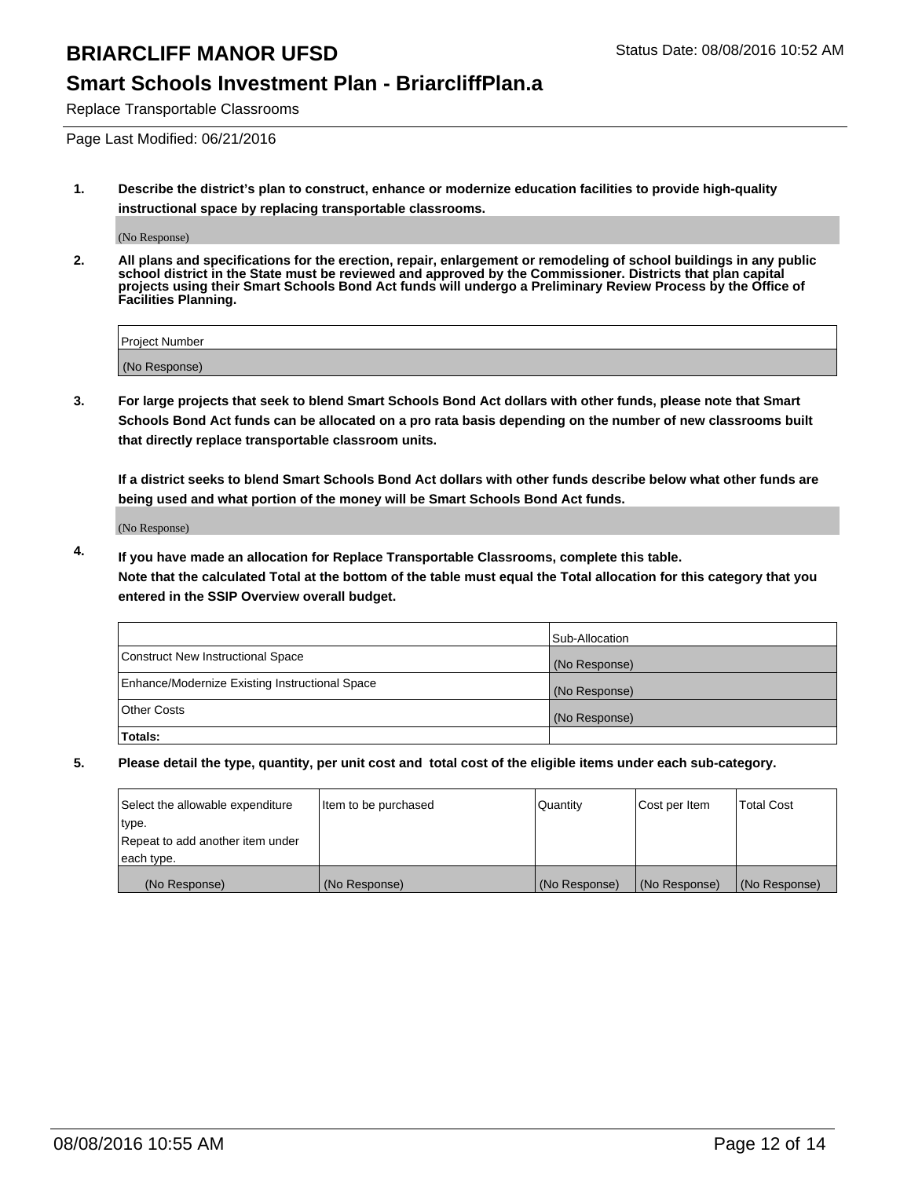### **Smart Schools Investment Plan - BriarcliffPlan.a**

Replace Transportable Classrooms

Page Last Modified: 06/21/2016

**1. Describe the district's plan to construct, enhance or modernize education facilities to provide high-quality instructional space by replacing transportable classrooms.**

(No Response)

**2. All plans and specifications for the erection, repair, enlargement or remodeling of school buildings in any public school district in the State must be reviewed and approved by the Commissioner. Districts that plan capital projects using their Smart Schools Bond Act funds will undergo a Preliminary Review Process by the Office of Facilities Planning.**

| <b>Project Number</b> |  |
|-----------------------|--|
| (No Response)         |  |

**3. For large projects that seek to blend Smart Schools Bond Act dollars with other funds, please note that Smart Schools Bond Act funds can be allocated on a pro rata basis depending on the number of new classrooms built that directly replace transportable classroom units.**

**If a district seeks to blend Smart Schools Bond Act dollars with other funds describe below what other funds are being used and what portion of the money will be Smart Schools Bond Act funds.**

(No Response)

**4. If you have made an allocation for Replace Transportable Classrooms, complete this table. Note that the calculated Total at the bottom of the table must equal the Total allocation for this category that you entered in the SSIP Overview overall budget.**

|                                                | Sub-Allocation |
|------------------------------------------------|----------------|
| Construct New Instructional Space              | (No Response)  |
| Enhance/Modernize Existing Instructional Space | (No Response)  |
| Other Costs                                    | (No Response)  |
| Totals:                                        |                |

| Select the allowable expenditure | Item to be purchased | Quantity      | Cost per Item | <b>Total Cost</b> |
|----------------------------------|----------------------|---------------|---------------|-------------------|
| type.                            |                      |               |               |                   |
| Repeat to add another item under |                      |               |               |                   |
| each type.                       |                      |               |               |                   |
| (No Response)                    | (No Response)        | (No Response) | (No Response) | (No Response)     |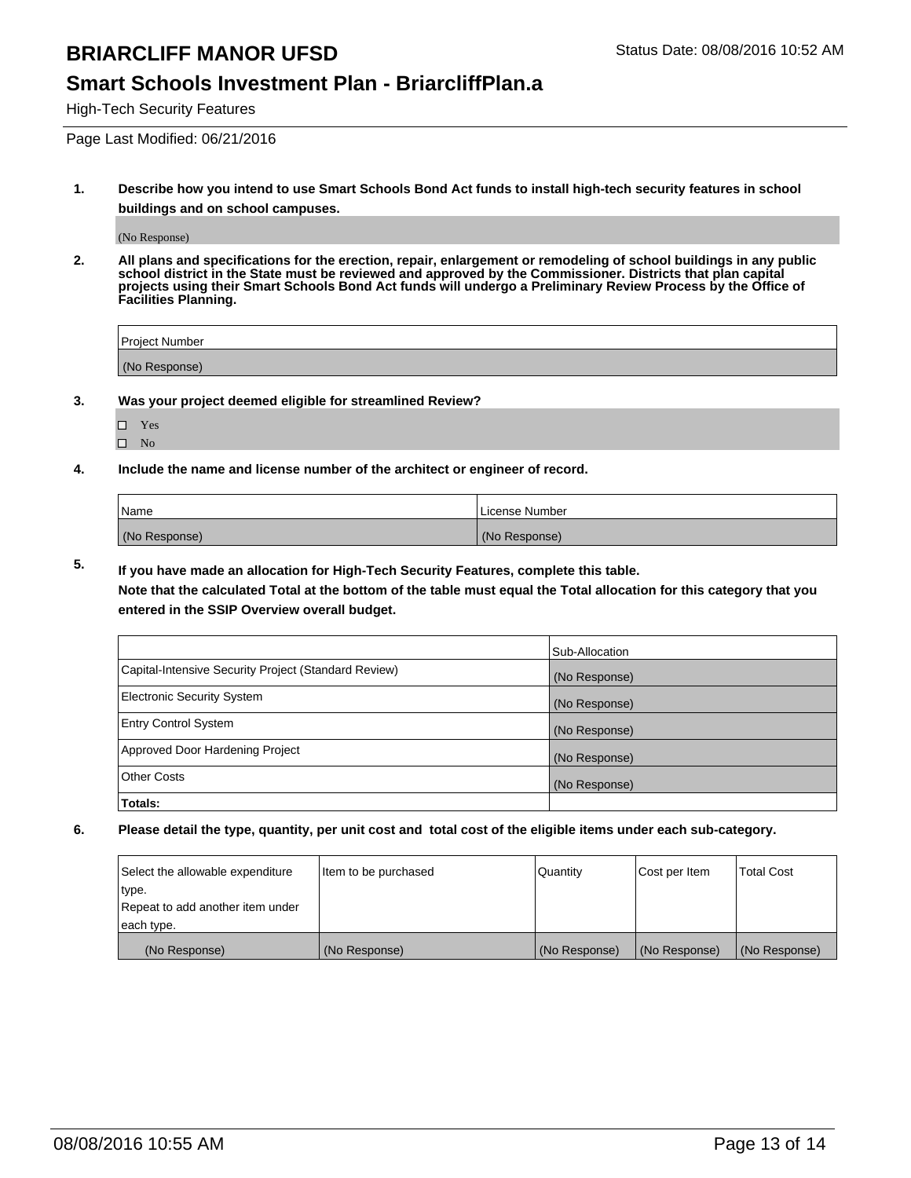#### **Smart Schools Investment Plan - BriarcliffPlan.a**

High-Tech Security Features

Page Last Modified: 06/21/2016

**1. Describe how you intend to use Smart Schools Bond Act funds to install high-tech security features in school buildings and on school campuses.**

(No Response)

**2. All plans and specifications for the erection, repair, enlargement or remodeling of school buildings in any public school district in the State must be reviewed and approved by the Commissioner. Districts that plan capital projects using their Smart Schools Bond Act funds will undergo a Preliminary Review Process by the Office of Facilities Planning.** 

| Project Number |  |
|----------------|--|
| (No Response)  |  |

**3. Was your project deemed eligible for streamlined Review?**

Yes  $\hfill \square$  <br> No

**4. Include the name and license number of the architect or engineer of record.**

| Name          | License Number |
|---------------|----------------|
| (No Response) | (No Response)  |

**5. If you have made an allocation for High-Tech Security Features, complete this table.**

**Note that the calculated Total at the bottom of the table must equal the Total allocation for this category that you entered in the SSIP Overview overall budget.**

|                                                      | Sub-Allocation |
|------------------------------------------------------|----------------|
| Capital-Intensive Security Project (Standard Review) | (No Response)  |
| <b>Electronic Security System</b>                    | (No Response)  |
| <b>Entry Control System</b>                          | (No Response)  |
| Approved Door Hardening Project                      | (No Response)  |
| <b>Other Costs</b>                                   | (No Response)  |
| Totals:                                              |                |

| Select the allowable expenditure | litem to be purchased | Quantity      | Cost per Item | <b>Total Cost</b> |
|----------------------------------|-----------------------|---------------|---------------|-------------------|
| type.                            |                       |               |               |                   |
| Repeat to add another item under |                       |               |               |                   |
| each type.                       |                       |               |               |                   |
| (No Response)                    | (No Response)         | (No Response) | (No Response) | (No Response)     |